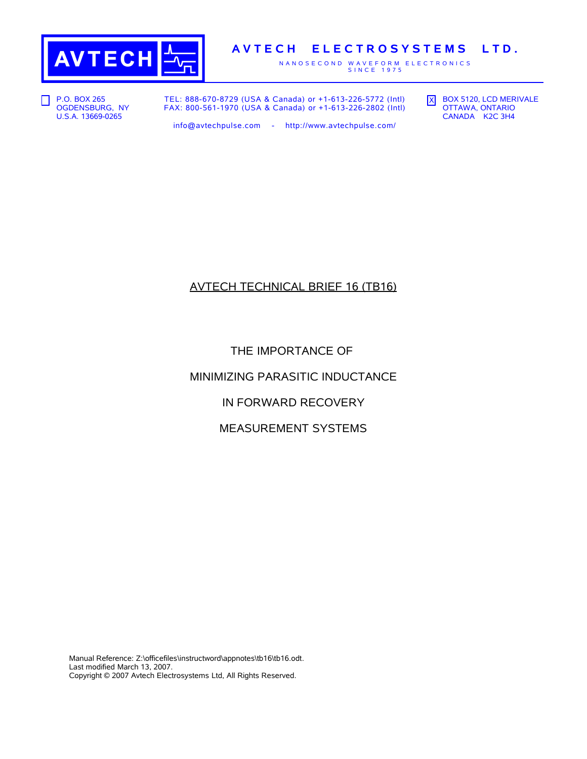

## **A V T E C H E L E C T R O S Y S T E M S L T D .**

N A N O S E C O N D W A V E F O R M E L E C T R O N I C S<br>S I N C E 1975

**P.O. BOX 265** OGDENSBURG, NY U.S.A. 13669-0265

TEL: 888-670-8729 (USA & Canada) or +1-613-226-5772 (Intl) FAX: 800-561-1970 (USA & Canada) or +1-613-226-2802 (Intl) X BOX 5120, LCD MERIVALE OTTAWA, ONTARIO CANADA K2C 3H4

info@avtechpulse.com - http://www.avtechpulse.com/

# AVTECH TECHNICAL BRIEF 16 (TB16)

THE IMPORTANCE OF

MINIMIZING PARASITIC INDUCTANCE

IN FORWARD RECOVERY

MEASUREMENT SYSTEMS

Manual Reference: Z:\officefiles\instructword\appnotes\tb16\tb16.odt. Last modified March 13, 2007. Copyright © 2007 Avtech Electrosystems Ltd, All Rights Reserved.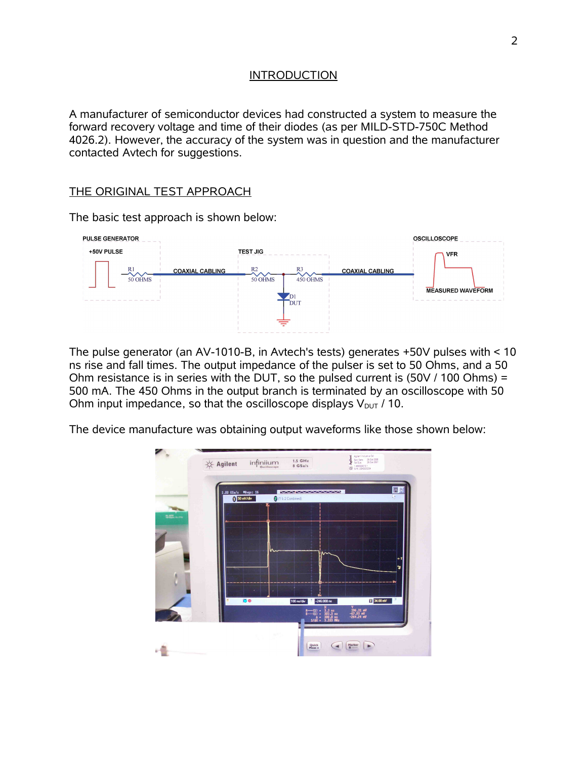#### INTRODUCTION

A manufacturer of semiconductor devices had constructed a system to measure the forward recovery voltage and time of their diodes (as per MILD-STD-750C Method 4026.2). However, the accuracy of the system was in question and the manufacturer contacted Avtech for suggestions.

#### THE ORIGINAL TEST APPROACH

The basic test approach is shown below:



The pulse generator (an AV-1010-B, in Avtech's tests) generates +50V pulses with < 10 ns rise and fall times. The output impedance of the pulser is set to 50 Ohms, and a 50 Ohm resistance is in series with the DUT, so the pulsed current is (50V / 100 Ohms) = 500 mA. The 450 Ohms in the output branch is terminated by an oscilloscope with 50 Ohm input impedance, so that the oscilloscope displays  $V_{DUT}$  / 10.

The device manufacture was obtaining output waveforms like those shown below:

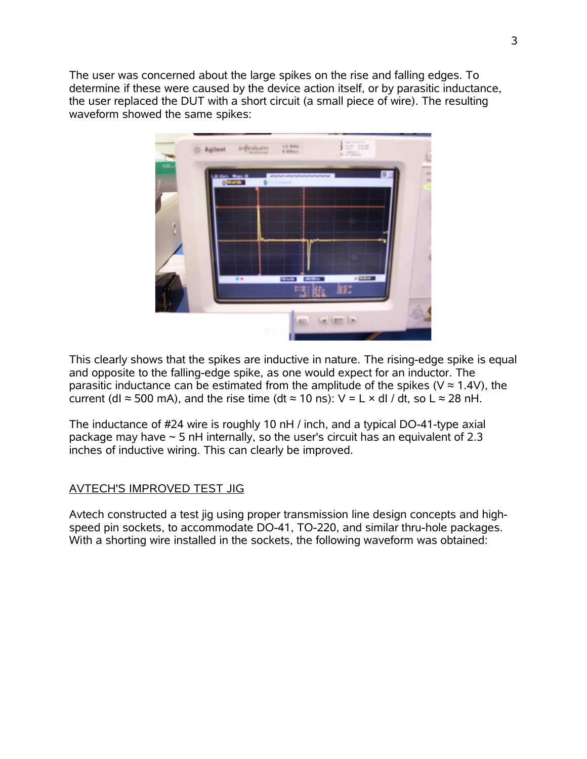The user was concerned about the large spikes on the rise and falling edges. To determine if these were caused by the device action itself, or by parasitic inductance, the user replaced the DUT with a short circuit (a small piece of wire). The resulting waveform showed the same spikes:



This clearly shows that the spikes are inductive in nature. The rising-edge spike is equal and opposite to the falling-edge spike, as one would expect for an inductor. The parasitic inductance can be estimated from the amplitude of the spikes ( $V \approx 1.4V$ ), the current (dI  $\approx$  500 mA), and the rise time (dt  $\approx$  10 ns): V = L  $\times$  dI / dt, so L  $\approx$  28 nH.

The inductance of #24 wire is roughly 10 nH / inch, and a typical DO-41-type axial package may have  $\sim$  5 nH internally, so the user's circuit has an equivalent of 2.3 inches of inductive wiring. This can clearly be improved.

### AVTECH'S IMPROVED TEST JIG

Avtech constructed a test jig using proper transmission line design concepts and highspeed pin sockets, to accommodate DO-41, TO-220, and similar thru-hole packages. With a shorting wire installed in the sockets, the following waveform was obtained: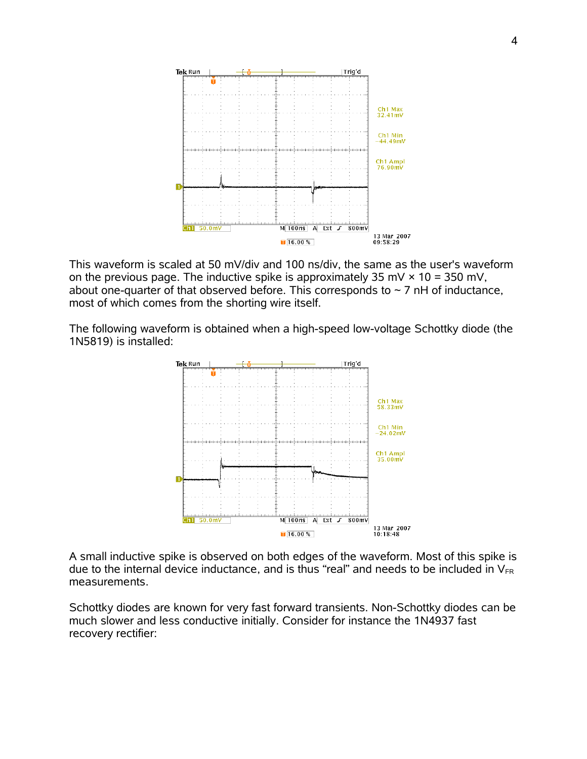

This waveform is scaled at 50 mV/div and 100 ns/div, the same as the user's waveform on the previous page. The inductive spike is approximately 35 mV  $\times$  10 = 350 mV, about one-quarter of that observed before. This corresponds to  $\sim$  7 nH of inductance, most of which comes from the shorting wire itself.

The following waveform is obtained when a high-speed low-voltage Schottky diode (the 1N5819) is installed:



A small inductive spike is observed on both edges of the waveform. Most of this spike is due to the internal device inductance, and is thus "real" and needs to be included in  $V_{FR}$ measurements.

Schottky diodes are known for very fast forward transients. Non-Schottky diodes can be much slower and less conductive initially. Consider for instance the 1N4937 fast recovery rectifier: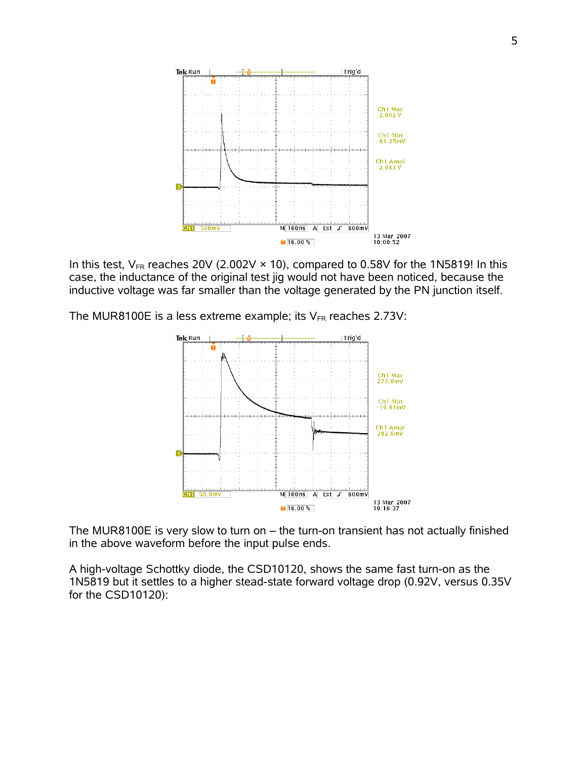

In this test,  $V_{FR}$  reaches 20V (2.002V  $\times$  10), compared to 0.58V for the 1N5819! In this case, the inductance of the original test jig would not have been noticed, because the inductive voltage was far smaller than the voltage generated by the PN junction itself.

The MUR8100E is a less extreme example; its  $V_{FR}$  reaches 2.73V:



The MUR8100E is very slow to turn on – the turn-on transient has not actually finished in the above waveform before the input pulse ends.

A high-voltage Schottky diode, the CSD10120, shows the same fast turn-on as the 1N5819 but it settles to a higher stead-state forward voltage drop (0.92V, versus 0.35V for the CSD10120):